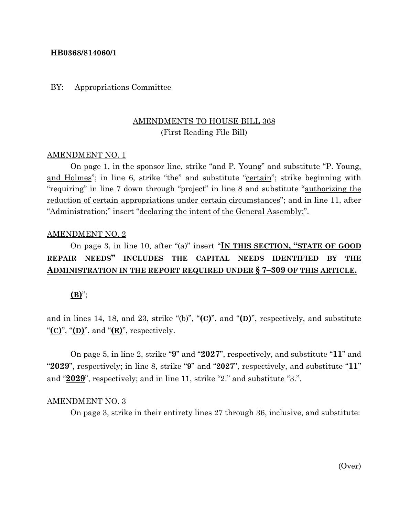### **HB0368/814060/1**

### BY: Appropriations Committee

# AMENDMENTS TO HOUSE BILL 368 (First Reading File Bill)

#### AMENDMENT NO. 1

On page 1, in the sponsor line, strike "and P. Young" and substitute "P. Young, and Holmes"; in line 6, strike "the" and substitute "certain"; strike beginning with "requiring" in line 7 down through "project" in line 8 and substitute "authorizing the reduction of certain appropriations under certain circumstances"; and in line 11, after "Administration;" insert "declaring the intent of the General Assembly;".

#### AMENDMENT NO. 2

# On page 3, in line 10, after "(a)" insert "**IN THIS SECTION, "STATE OF GOOD REPAIR NEEDS" INCLUDES THE CAPITAL NEEDS IDENTIFIED BY THE ADMINISTRATION IN THE REPORT REQUIRED UNDER § 7–309 OF THIS ARTICLE.**

### **(B)**";

and in lines 14, 18, and 23, strike "(b)", "**(C)**", and "**(D)**", respectively, and substitute " $(\mathbf{C})$ ", " $(\mathbf{D})$ ", and " $(\mathbf{E})$ ", respectively.

On page 5, in line 2, strike "**9**" and "**2027**", respectively, and substitute "**11**" and "**2029**", respectively; in line 8, strike "**9**" and "**2027**", respectively, and substitute "**11**" and "2029", respectively; and in line 11, strike "2." and substitute "3.".

#### AMENDMENT NO. 3

On page 3, strike in their entirety lines 27 through 36, inclusive, and substitute: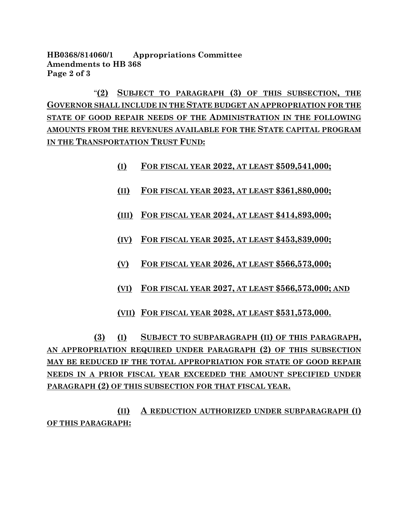**HB0368/814060/1 Appropriations Committee Amendments to HB 368 Page 2 of 3**

"**(2) SUBJECT TO PARAGRAPH (3) OF THIS SUBSECTION, THE GOVERNOR SHALL INCLUDE IN THE STATE BUDGET AN APPROPRIATION FOR THE STATE OF GOOD REPAIR NEEDS OF THE ADMINISTRATION IN THE FOLLOWING AMOUNTS FROM THE REVENUES AVAILABLE FOR THE STATE CAPITAL PROGRAM IN THE TRANSPORTATION TRUST FUND:**

- **(I) FOR FISCAL YEAR 2022, AT LEAST \$509,541,000;**
- **(II) FOR FISCAL YEAR 2023, AT LEAST \$361,880,000;**
- **(III) FOR FISCAL YEAR 2024, AT LEAST \$414,893,000;**
- **(IV) FOR FISCAL YEAR 2025, AT LEAST \$453,839,000;**
- **(V) FOR FISCAL YEAR 2026, AT LEAST \$566,573,000;**
- **(VI) FOR FISCAL YEAR 2027, AT LEAST \$566,573,000; AND**
- **(VII) FOR FISCAL YEAR 2028, AT LEAST \$531,573,000.**

**(3) (I) SUBJECT TO SUBPARAGRAPH (II) OF THIS PARAGRAPH, AN APPROPRIATION REQUIRED UNDER PARAGRAPH (2) OF THIS SUBSECTION MAY BE REDUCED IF THE TOTAL APPROPRIATION FOR STATE OF GOOD REPAIR NEEDS IN A PRIOR FISCAL YEAR EXCEEDED THE AMOUNT SPECIFIED UNDER PARAGRAPH (2) OF THIS SUBSECTION FOR THAT FISCAL YEAR.**

**(II) A REDUCTION AUTHORIZED UNDER SUBPARAGRAPH (I) OF THIS PARAGRAPH:**